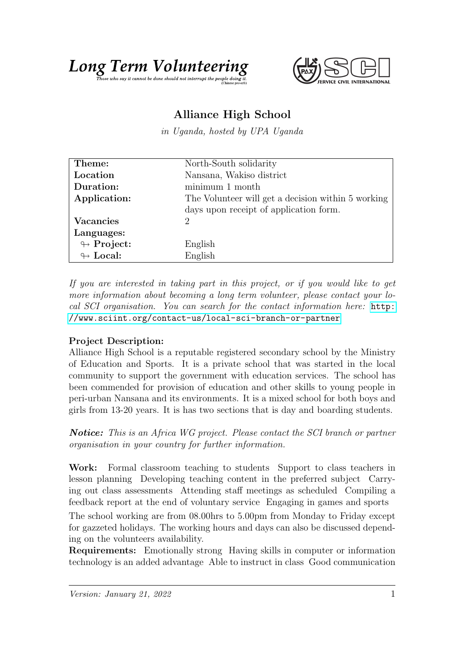



## Alliance High School

in Uganda, hosted by UPA Uganda

| Theme:                     | North-South solidarity                             |
|----------------------------|----------------------------------------------------|
| Location                   | Nansana, Wakiso district                           |
| Duration:                  | minimum 1 month                                    |
| Application:               | The Volunteer will get a decision within 5 working |
|                            | days upon receipt of application form.             |
| <b>Vacancies</b>           | 2                                                  |
| Languages:                 |                                                    |
| $\leftrightarrow$ Project: | English                                            |
| $\leftrightarrow$ Local:   | English                                            |

If you are interested in taking part in this project, or if you would like to get more information about becoming a long term volunteer, please contact your local SCI organisation. You can search for the contact information here: [http:](http://www.sciint.org/contact-us/local-sci-branch-or-partner) [//www.sciint.org/contact-us/local-sci-branch-or-partner](http://www.sciint.org/contact-us/local-sci-branch-or-partner)

## Project Description:

Alliance High School is a reputable registered secondary school by the Ministry of Education and Sports. It is a private school that was started in the local community to support the government with education services. The school has been commended for provision of education and other skills to young people in peri-urban Nansana and its environments. It is a mixed school for both boys and girls from 13-20 years. It is has two sections that is day and boarding students.

Notice: This is an Africa WG project. Please contact the SCI branch or partner organisation in your country for further information.

Work: Formal classroom teaching to students Support to class teachers in lesson planning Developing teaching content in the preferred subject Carrying out class assessments Attending staff meetings as scheduled Compiling a feedback report at the end of voluntary service Engaging in games and sports The school working are from 08.00hrs to 5.00pm from Monday to Friday except for gazzeted holidays. The working hours and days can also be discussed depending on the volunteers availability.

Requirements: Emotionally strong Having skills in computer or information technology is an added advantage Able to instruct in class Good communication